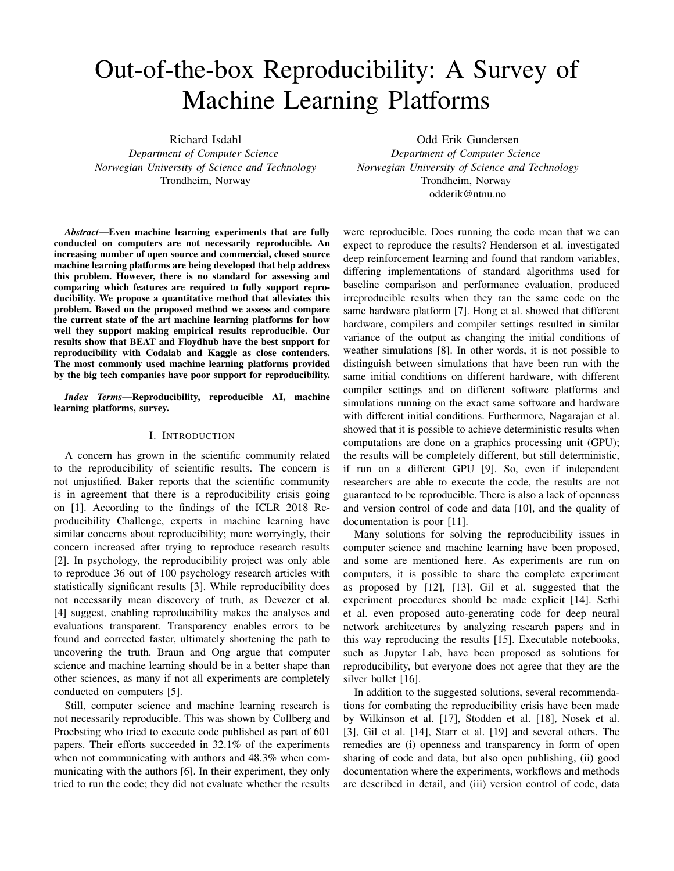# Out-of-the-box Reproducibility: A Survey of Machine Learning Platforms

Richard Isdahl

*Department of Computer Science Norwegian University of Science and Technology* Trondheim, Norway

*Abstract*—Even machine learning experiments that are fully conducted on computers are not necessarily reproducible. An increasing number of open source and commercial, closed source machine learning platforms are being developed that help address this problem. However, there is no standard for assessing and comparing which features are required to fully support reproducibility. We propose a quantitative method that alleviates this problem. Based on the proposed method we assess and compare the current state of the art machine learning platforms for how well they support making empirical results reproducible. Our results show that BEAT and Floydhub have the best support for reproducibility with Codalab and Kaggle as close contenders. The most commonly used machine learning platforms provided by the big tech companies have poor support for reproducibility.

*Index Terms*—Reproducibility, reproducible AI, machine learning platforms, survey.

## I. INTRODUCTION

A concern has grown in the scientific community related to the reproducibility of scientific results. The concern is not unjustified. Baker reports that the scientific community is in agreement that there is a reproducibility crisis going on [1]. According to the findings of the ICLR 2018 Reproducibility Challenge, experts in machine learning have similar concerns about reproducibility; more worryingly, their concern increased after trying to reproduce research results [2]. In psychology, the reproducibility project was only able to reproduce 36 out of 100 psychology research articles with statistically significant results [3]. While reproducibility does not necessarily mean discovery of truth, as Devezer et al. [4] suggest, enabling reproducibility makes the analyses and evaluations transparent. Transparency enables errors to be found and corrected faster, ultimately shortening the path to uncovering the truth. Braun and Ong argue that computer science and machine learning should be in a better shape than other sciences, as many if not all experiments are completely conducted on computers [5].

Still, computer science and machine learning research is not necessarily reproducible. This was shown by Collberg and Proebsting who tried to execute code published as part of 601 papers. Their efforts succeeded in 32.1% of the experiments when not communicating with authors and 48.3% when communicating with the authors [6]. In their experiment, they only tried to run the code; they did not evaluate whether the results

Odd Erik Gundersen *Department of Computer Science Norwegian University of Science and Technology* Trondheim, Norway odderik@ntnu.no

were reproducible. Does running the code mean that we can expect to reproduce the results? Henderson et al. investigated deep reinforcement learning and found that random variables, differing implementations of standard algorithms used for baseline comparison and performance evaluation, produced irreproducible results when they ran the same code on the same hardware platform [7]. Hong et al. showed that different hardware, compilers and compiler settings resulted in similar variance of the output as changing the initial conditions of weather simulations [8]. In other words, it is not possible to distinguish between simulations that have been run with the same initial conditions on different hardware, with different compiler settings and on different software platforms and simulations running on the exact same software and hardware with different initial conditions. Furthermore, Nagarajan et al. showed that it is possible to achieve deterministic results when computations are done on a graphics processing unit (GPU); the results will be completely different, but still deterministic, if run on a different GPU [9]. So, even if independent researchers are able to execute the code, the results are not guaranteed to be reproducible. There is also a lack of openness and version control of code and data [10], and the quality of documentation is poor [11].

Many solutions for solving the reproducibility issues in computer science and machine learning have been proposed, and some are mentioned here. As experiments are run on computers, it is possible to share the complete experiment as proposed by [12], [13]. Gil et al. suggested that the experiment procedures should be made explicit [14]. Sethi et al. even proposed auto-generating code for deep neural network architectures by analyzing research papers and in this way reproducing the results [15]. Executable notebooks, such as Jupyter Lab, have been proposed as solutions for reproducibility, but everyone does not agree that they are the silver bullet [16].

In addition to the suggested solutions, several recommendations for combating the reproducibility crisis have been made by Wilkinson et al. [17], Stodden et al. [18], Nosek et al. [3], Gil et al. [14], Starr et al. [19] and several others. The remedies are (i) openness and transparency in form of open sharing of code and data, but also open publishing, (ii) good documentation where the experiments, workflows and methods are described in detail, and (iii) version control of code, data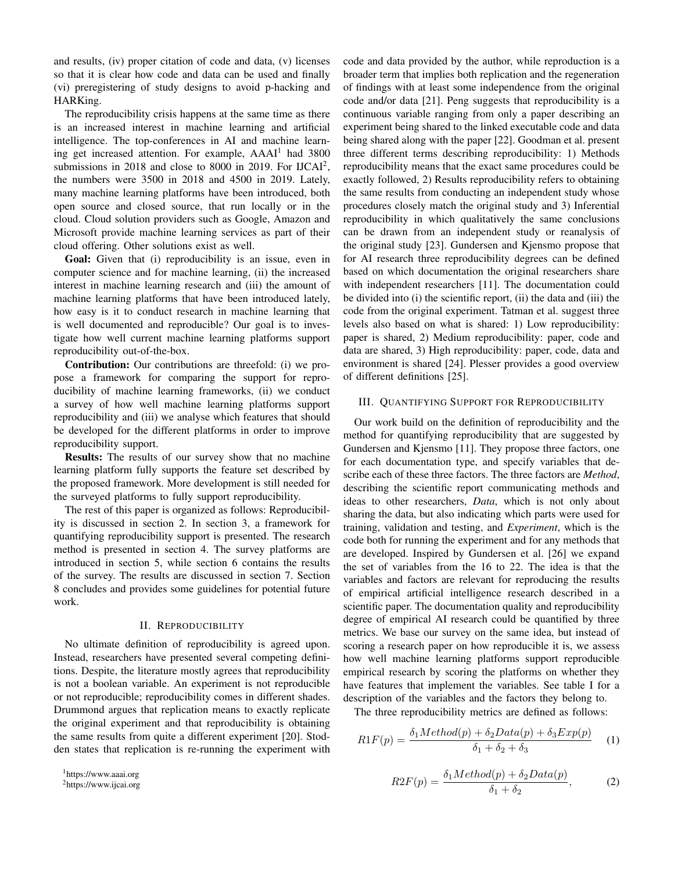and results, (iv) proper citation of code and data, (v) licenses so that it is clear how code and data can be used and finally (vi) preregistering of study designs to avoid p-hacking and HARKing.

The reproducibility crisis happens at the same time as there is an increased interest in machine learning and artificial intelligence. The top-conferences in AI and machine learning get increased attention. For example, AAAI<sup>1</sup> had 3800 submissions in 2018 and close to 8000 in 2019. For  $IJCAI<sup>2</sup>$ , the numbers were 3500 in 2018 and 4500 in 2019. Lately, many machine learning platforms have been introduced, both open source and closed source, that run locally or in the cloud. Cloud solution providers such as Google, Amazon and Microsoft provide machine learning services as part of their cloud offering. Other solutions exist as well.

Goal: Given that (i) reproducibility is an issue, even in computer science and for machine learning, (ii) the increased interest in machine learning research and (iii) the amount of machine learning platforms that have been introduced lately, how easy is it to conduct research in machine learning that is well documented and reproducible? Our goal is to investigate how well current machine learning platforms support reproducibility out-of-the-box.

Contribution: Our contributions are threefold: (i) we propose a framework for comparing the support for reproducibility of machine learning frameworks, (ii) we conduct a survey of how well machine learning platforms support reproducibility and (iii) we analyse which features that should be developed for the different platforms in order to improve reproducibility support.

Results: The results of our survey show that no machine learning platform fully supports the feature set described by the proposed framework. More development is still needed for the surveyed platforms to fully support reproducibility.

The rest of this paper is organized as follows: Reproducibility is discussed in section 2. In section 3, a framework for quantifying reproducibility support is presented. The research method is presented in section 4. The survey platforms are introduced in section 5, while section 6 contains the results of the survey. The results are discussed in section 7. Section 8 concludes and provides some guidelines for potential future work.

## II. REPRODUCIBILITY

No ultimate definition of reproducibility is agreed upon. Instead, researchers have presented several competing definitions. Despite, the literature mostly agrees that reproducibility is not a boolean variable. An experiment is not reproducible or not reproducible; reproducibility comes in different shades. Drummond argues that replication means to exactly replicate the original experiment and that reproducibility is obtaining the same results from quite a different experiment [20]. Stodden states that replication is re-running the experiment with code and data provided by the author, while reproduction is a broader term that implies both replication and the regeneration of findings with at least some independence from the original code and/or data [21]. Peng suggests that reproducibility is a continuous variable ranging from only a paper describing an experiment being shared to the linked executable code and data being shared along with the paper [22]. Goodman et al. present three different terms describing reproducibility: 1) Methods reproducibility means that the exact same procedures could be exactly followed, 2) Results reproducibility refers to obtaining the same results from conducting an independent study whose procedures closely match the original study and 3) Inferential reproducibility in which qualitatively the same conclusions can be drawn from an independent study or reanalysis of the original study [23]. Gundersen and Kjensmo propose that for AI research three reproducibility degrees can be defined based on which documentation the original researchers share with independent researchers [11]. The documentation could be divided into (i) the scientific report, (ii) the data and (iii) the code from the original experiment. Tatman et al. suggest three levels also based on what is shared: 1) Low reproducibility: paper is shared, 2) Medium reproducibility: paper, code and data are shared, 3) High reproducibility: paper, code, data and environment is shared [24]. Plesser provides a good overview of different definitions [25].

# III. QUANTIFYING SUPPORT FOR REPRODUCIBILITY

Our work build on the definition of reproducibility and the method for quantifying reproducibility that are suggested by Gundersen and Kjensmo [11]. They propose three factors, one for each documentation type, and specify variables that describe each of these three factors. The three factors are *Method*, describing the scientific report communicating methods and ideas to other researchers, *Data*, which is not only about sharing the data, but also indicating which parts were used for training, validation and testing, and *Experiment*, which is the code both for running the experiment and for any methods that are developed. Inspired by Gundersen et al. [26] we expand the set of variables from the 16 to 22. The idea is that the variables and factors are relevant for reproducing the results of empirical artificial intelligence research described in a scientific paper. The documentation quality and reproducibility degree of empirical AI research could be quantified by three metrics. We base our survey on the same idea, but instead of scoring a research paper on how reproducible it is, we assess how well machine learning platforms support reproducible empirical research by scoring the platforms on whether they have features that implement the variables. See table I for a description of the variables and the factors they belong to.

The three reproducibility metrics are defined as follows:

$$
R1F(p) = \frac{\delta_1 Method(p) + \delta_2 Data(p) + \delta_3 Exp(p)}{\delta_1 + \delta_2 + \delta_3} \tag{1}
$$

$$
R2F(p) = \frac{\delta_1 Method(p) + \delta_2 Data(p)}{\delta_1 + \delta_2},
$$
 (2)

<sup>1</sup>https://www.aaai.org

<sup>2</sup>https://www.ijcai.org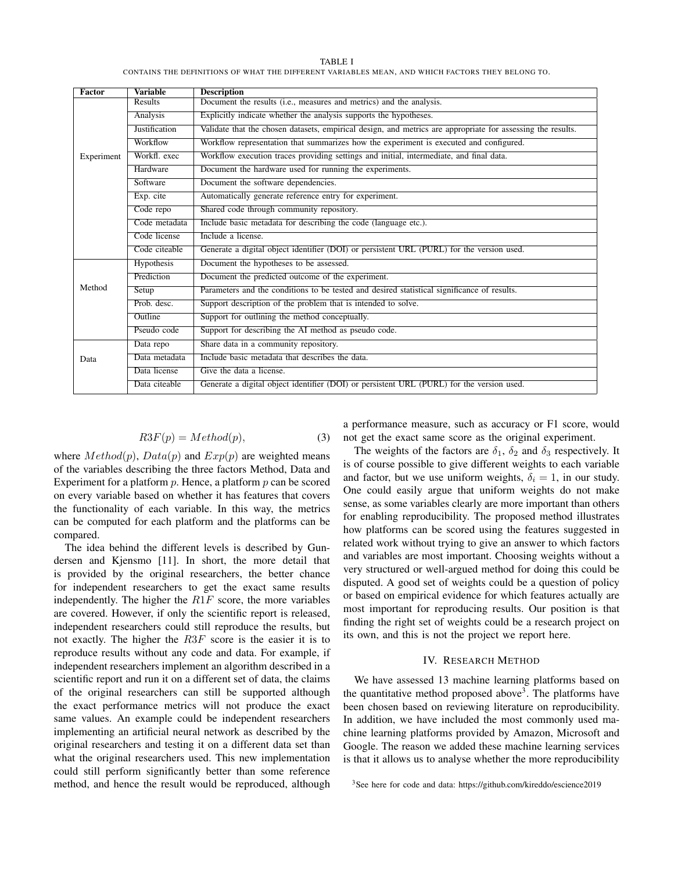TABLE I CONTAINS THE DEFINITIONS OF WHAT THE DIFFERENT VARIABLES MEAN, AND WHICH FACTORS THEY BELONG TO.

| <b>Factor</b> | <b>Variable</b>      | <b>Description</b>                                                                                          |  |  |  |
|---------------|----------------------|-------------------------------------------------------------------------------------------------------------|--|--|--|
|               | Results              | Document the results (i.e., measures and metrics) and the analysis.                                         |  |  |  |
|               | Analysis             | Explicitly indicate whether the analysis supports the hypotheses.                                           |  |  |  |
|               | <b>Justification</b> | Validate that the chosen datasets, empirical design, and metrics are appropriate for assessing the results. |  |  |  |
|               | Workflow             | Workflow representation that summarizes how the experiment is executed and configured.                      |  |  |  |
| Experiment    | Workfl. exec         | Workflow execution traces providing settings and initial, intermediate, and final data.                     |  |  |  |
|               | Hardware             | Document the hardware used for running the experiments.                                                     |  |  |  |
|               | Software             | Document the software dependencies.                                                                         |  |  |  |
|               | Exp. cite            | Automatically generate reference entry for experiment.                                                      |  |  |  |
|               | Code repo            | Shared code through community repository.                                                                   |  |  |  |
|               | Code metadata        | Include basic metadata for describing the code (language etc.).                                             |  |  |  |
|               | Code license         | Include a license.                                                                                          |  |  |  |
|               | Code citeable        | Generate a digital object identifier (DOI) or persistent URL (PURL) for the version used.                   |  |  |  |
|               | <b>Hypothesis</b>    | Document the hypotheses to be assessed.                                                                     |  |  |  |
|               | Prediction           | Document the predicted outcome of the experiment.                                                           |  |  |  |
| Method        | Setup                | Parameters and the conditions to be tested and desired statistical significance of results.                 |  |  |  |
|               | Prob. desc.          | Support description of the problem that is intended to solve.                                               |  |  |  |
|               | <b>Outline</b>       | Support for outlining the method conceptually.                                                              |  |  |  |
|               | Pseudo code          | Support for describing the AI method as pseudo code.                                                        |  |  |  |
|               | Data repo            | Share data in a community repository.                                                                       |  |  |  |
| Data          | Data metadata        | Include basic metadata that describes the data.                                                             |  |  |  |
|               | Data license         | Give the data a license.                                                                                    |  |  |  |
|               | Data citeable        | Generate a digital object identifier (DOI) or persistent URL (PURL) for the version used.                   |  |  |  |

$$
R3F(p) = Method(p),
$$
\n(3)

where  $Method(p)$ ,  $Data(p)$  and  $Exp(p)$  are weighted means of the variables describing the three factors Method, Data and Experiment for a platform  $p$ . Hence, a platform  $p$  can be scored on every variable based on whether it has features that covers the functionality of each variable. In this way, the metrics can be computed for each platform and the platforms can be compared.

The idea behind the different levels is described by Gundersen and Kjensmo [11]. In short, the more detail that is provided by the original researchers, the better chance for independent researchers to get the exact same results independently. The higher the  $R1F$  score, the more variables are covered. However, if only the scientific report is released, independent researchers could still reproduce the results, but not exactly. The higher the  $R3F$  score is the easier it is to reproduce results without any code and data. For example, if independent researchers implement an algorithm described in a scientific report and run it on a different set of data, the claims of the original researchers can still be supported although the exact performance metrics will not produce the exact same values. An example could be independent researchers implementing an artificial neural network as described by the original researchers and testing it on a different data set than what the original researchers used. This new implementation could still perform significantly better than some reference method, and hence the result would be reproduced, although a performance measure, such as accuracy or F1 score, would not get the exact same score as the original experiment.

The weights of the factors are  $\delta_1$ ,  $\delta_2$  and  $\delta_3$  respectively. It is of course possible to give different weights to each variable and factor, but we use uniform weights,  $\delta_i = 1$ , in our study. One could easily argue that uniform weights do not make sense, as some variables clearly are more important than others for enabling reproducibility. The proposed method illustrates how platforms can be scored using the features suggested in related work without trying to give an answer to which factors and variables are most important. Choosing weights without a very structured or well-argued method for doing this could be disputed. A good set of weights could be a question of policy or based on empirical evidence for which features actually are most important for reproducing results. Our position is that finding the right set of weights could be a research project on its own, and this is not the project we report here.

## IV. RESEARCH METHOD

We have assessed 13 machine learning platforms based on the quantitative method proposed above<sup>3</sup>. The platforms have been chosen based on reviewing literature on reproducibility. In addition, we have included the most commonly used machine learning platforms provided by Amazon, Microsoft and Google. The reason we added these machine learning services is that it allows us to analyse whether the more reproducibility

<sup>3</sup>See here for code and data: https://github.com/kireddo/escience2019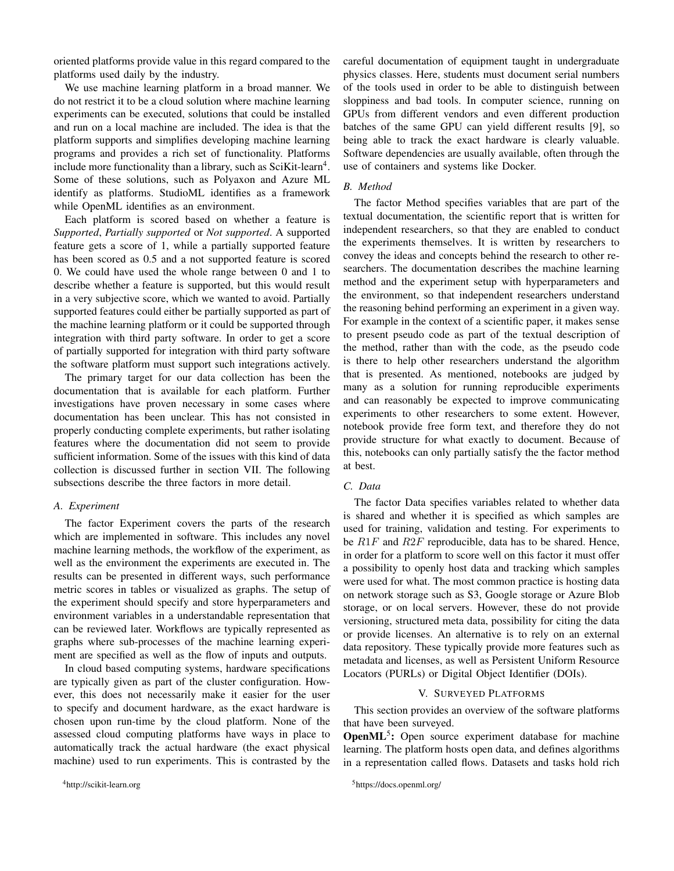oriented platforms provide value in this regard compared to the platforms used daily by the industry.

We use machine learning platform in a broad manner. We do not restrict it to be a cloud solution where machine learning experiments can be executed, solutions that could be installed and run on a local machine are included. The idea is that the platform supports and simplifies developing machine learning programs and provides a rich set of functionality. Platforms include more functionality than a library, such as  $SciKi$ -learn<sup>4</sup>. Some of these solutions, such as Polyaxon and Azure ML identify as platforms. StudioML identifies as a framework while OpenML identifies as an environment.

Each platform is scored based on whether a feature is *Supported*, *Partially supported* or *Not supported*. A supported feature gets a score of 1, while a partially supported feature has been scored as 0.5 and a not supported feature is scored 0. We could have used the whole range between 0 and 1 to describe whether a feature is supported, but this would result in a very subjective score, which we wanted to avoid. Partially supported features could either be partially supported as part of the machine learning platform or it could be supported through integration with third party software. In order to get a score of partially supported for integration with third party software the software platform must support such integrations actively.

The primary target for our data collection has been the documentation that is available for each platform. Further investigations have proven necessary in some cases where documentation has been unclear. This has not consisted in properly conducting complete experiments, but rather isolating features where the documentation did not seem to provide sufficient information. Some of the issues with this kind of data collection is discussed further in section VII. The following subsections describe the three factors in more detail.

## *A. Experiment*

The factor Experiment covers the parts of the research which are implemented in software. This includes any novel machine learning methods, the workflow of the experiment, as well as the environment the experiments are executed in. The results can be presented in different ways, such performance metric scores in tables or visualized as graphs. The setup of the experiment should specify and store hyperparameters and environment variables in a understandable representation that can be reviewed later. Workflows are typically represented as graphs where sub-processes of the machine learning experiment are specified as well as the flow of inputs and outputs.

In cloud based computing systems, hardware specifications are typically given as part of the cluster configuration. However, this does not necessarily make it easier for the user to specify and document hardware, as the exact hardware is chosen upon run-time by the cloud platform. None of the assessed cloud computing platforms have ways in place to automatically track the actual hardware (the exact physical machine) used to run experiments. This is contrasted by the careful documentation of equipment taught in undergraduate physics classes. Here, students must document serial numbers of the tools used in order to be able to distinguish between sloppiness and bad tools. In computer science, running on GPUs from different vendors and even different production batches of the same GPU can yield different results [9], so being able to track the exact hardware is clearly valuable. Software dependencies are usually available, often through the use of containers and systems like Docker.

## *B. Method*

The factor Method specifies variables that are part of the textual documentation, the scientific report that is written for independent researchers, so that they are enabled to conduct the experiments themselves. It is written by researchers to convey the ideas and concepts behind the research to other researchers. The documentation describes the machine learning method and the experiment setup with hyperparameters and the environment, so that independent researchers understand the reasoning behind performing an experiment in a given way. For example in the context of a scientific paper, it makes sense to present pseudo code as part of the textual description of the method, rather than with the code, as the pseudo code is there to help other researchers understand the algorithm that is presented. As mentioned, notebooks are judged by many as a solution for running reproducible experiments and can reasonably be expected to improve communicating experiments to other researchers to some extent. However, notebook provide free form text, and therefore they do not provide structure for what exactly to document. Because of this, notebooks can only partially satisfy the the factor method at best.

## *C. Data*

The factor Data specifies variables related to whether data is shared and whether it is specified as which samples are used for training, validation and testing. For experiments to be  $R1F$  and  $R2F$  reproducible, data has to be shared. Hence, in order for a platform to score well on this factor it must offer a possibility to openly host data and tracking which samples were used for what. The most common practice is hosting data on network storage such as S3, Google storage or Azure Blob storage, or on local servers. However, these do not provide versioning, structured meta data, possibility for citing the data or provide licenses. An alternative is to rely on an external data repository. These typically provide more features such as metadata and licenses, as well as Persistent Uniform Resource Locators (PURLs) or Digital Object Identifier (DOIs).

#### V. SURVEYED PLATFORMS

This section provides an overview of the software platforms that have been surveyed.

OpenML<sup>5</sup>: Open source experiment database for machine learning. The platform hosts open data, and defines algorithms in a representation called flows. Datasets and tasks hold rich

<sup>5</sup>https://docs.openml.org/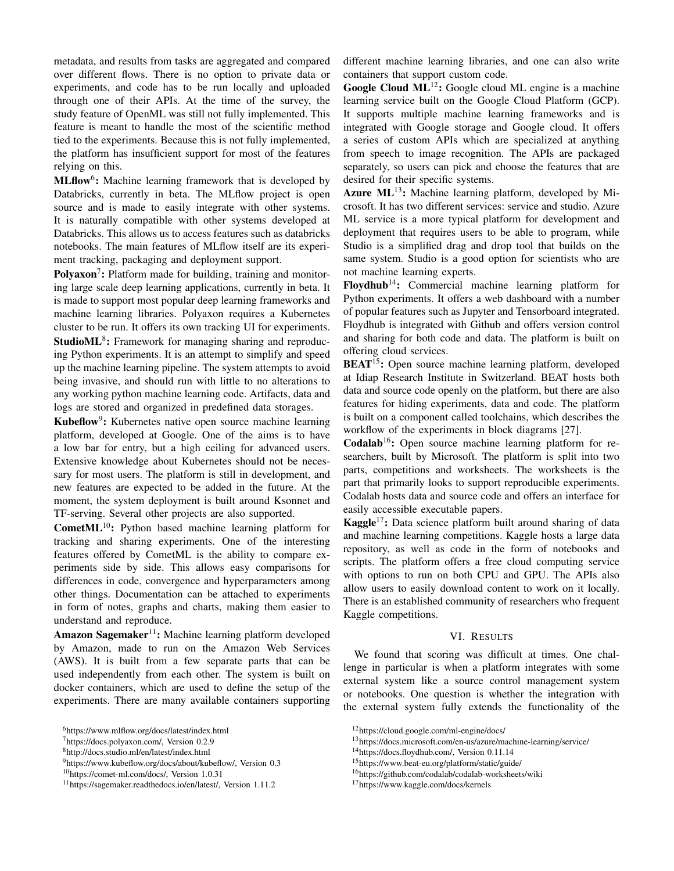metadata, and results from tasks are aggregated and compared over different flows. There is no option to private data or experiments, and code has to be run locally and uploaded through one of their APIs. At the time of the survey, the study feature of OpenML was still not fully implemented. This feature is meant to handle the most of the scientific method tied to the experiments. Because this is not fully implemented, the platform has insufficient support for most of the features relying on this.

MLflow<sup>6</sup>: Machine learning framework that is developed by Databricks, currently in beta. The MLflow project is open source and is made to easily integrate with other systems. It is naturally compatible with other systems developed at Databricks. This allows us to access features such as databricks notebooks. The main features of MLflow itself are its experiment tracking, packaging and deployment support.

Polyaxon<sup>7</sup>: Platform made for building, training and monitoring large scale deep learning applications, currently in beta. It is made to support most popular deep learning frameworks and machine learning libraries. Polyaxon requires a Kubernetes cluster to be run. It offers its own tracking UI for experiments. StudioML<sup>8</sup>: Framework for managing sharing and reproducing Python experiments. It is an attempt to simplify and speed up the machine learning pipeline. The system attempts to avoid being invasive, and should run with little to no alterations to any working python machine learning code. Artifacts, data and logs are stored and organized in predefined data storages.

Kubeflow<sup>9</sup>: Kubernetes native open source machine learning platform, developed at Google. One of the aims is to have a low bar for entry, but a high ceiling for advanced users. Extensive knowledge about Kubernetes should not be necessary for most users. The platform is still in development, and new features are expected to be added in the future. At the moment, the system deployment is built around Ksonnet and TF-serving. Several other projects are also supported.

**CometML**<sup>10</sup>: Python based machine learning platform for tracking and sharing experiments. One of the interesting features offered by CometML is the ability to compare experiments side by side. This allows easy comparisons for differences in code, convergence and hyperparameters among other things. Documentation can be attached to experiments in form of notes, graphs and charts, making them easier to understand and reproduce.

Amazon Sagemaker<sup>11</sup>: Machine learning platform developed by Amazon, made to run on the Amazon Web Services (AWS). It is built from a few separate parts that can be used independently from each other. The system is built on docker containers, which are used to define the setup of the experiments. There are many available containers supporting

different machine learning libraries, and one can also write containers that support custom code.

Google Cloud ML<sup>12</sup>: Google cloud ML engine is a machine learning service built on the Google Cloud Platform (GCP). It supports multiple machine learning frameworks and is integrated with Google storage and Google cloud. It offers a series of custom APIs which are specialized at anything from speech to image recognition. The APIs are packaged separately, so users can pick and choose the features that are desired for their specific systems.

Azure  $ML^{13}$ : Machine learning platform, developed by Microsoft. It has two different services: service and studio. Azure ML service is a more typical platform for development and deployment that requires users to be able to program, while Studio is a simplified drag and drop tool that builds on the same system. Studio is a good option for scientists who are not machine learning experts.

Floydhub<sup>14</sup>: Commercial machine learning platform for Python experiments. It offers a web dashboard with a number of popular features such as Jupyter and Tensorboard integrated. Floydhub is integrated with Github and offers version control and sharing for both code and data. The platform is built on offering cloud services.

BEAT<sup>15</sup>: Open source machine learning platform, developed at Idiap Research Institute in Switzerland. BEAT hosts both data and source code openly on the platform, but there are also features for hiding experiments, data and code. The platform is built on a component called toolchains, which describes the workflow of the experiments in block diagrams [27].

 $Codalab<sup>16</sup>$ : Open source machine learning platform for researchers, built by Microsoft. The platform is split into two parts, competitions and worksheets. The worksheets is the part that primarily looks to support reproducible experiments. Codalab hosts data and source code and offers an interface for easily accessible executable papers.

**Kaggle**<sup>17</sup>: Data science platform built around sharing of data and machine learning competitions. Kaggle hosts a large data repository, as well as code in the form of notebooks and scripts. The platform offers a free cloud computing service with options to run on both CPU and GPU. The APIs also allow users to easily download content to work on it locally. There is an established community of researchers who frequent Kaggle competitions.

## VI. RESULTS

We found that scoring was difficult at times. One challenge in particular is when a platform integrates with some external system like a source control management system or notebooks. One question is whether the integration with the external system fully extends the functionality of the

<sup>6</sup>https://www.mlflow.org/docs/latest/index.html

<sup>7</sup>https://docs.polyaxon.com/, Version 0.2.9

<sup>8</sup>http://docs.studio.ml/en/latest/index.html

<sup>9</sup>https://www.kubeflow.org/docs/about/kubeflow/, Version 0.3

<sup>10</sup>https://comet-ml.com/docs/, Version 1.0.31

<sup>11</sup>https://sagemaker.readthedocs.io/en/latest/, Version 1.11.2

<sup>12</sup>https://cloud.google.com/ml-engine/docs/

<sup>13</sup>https://docs.microsoft.com/en-us/azure/machine-learning/service/

<sup>14</sup>https://docs.floydhub.com/, Version 0.11.14

<sup>15</sup>https://www.beat-eu.org/platform/static/guide/

<sup>16</sup>https://github.com/codalab/codalab-worksheets/wiki

<sup>17</sup>https://www.kaggle.com/docs/kernels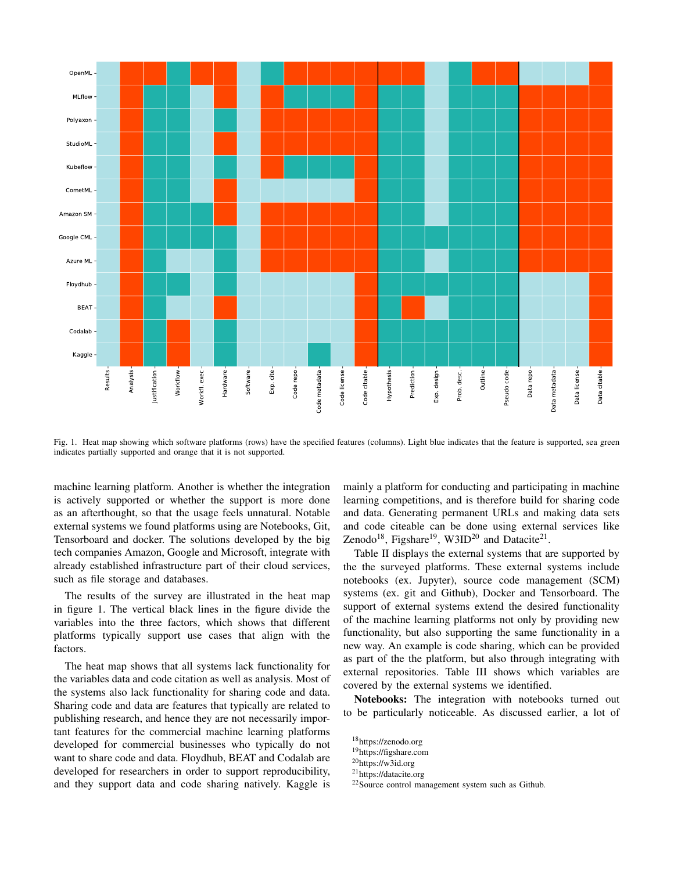

Fig. 1. Heat map showing which software platforms (rows) have the specified features (columns). Light blue indicates that the feature is supported, sea green indicates partially supported and orange that it is not supported.

machine learning platform. Another is whether the integration is actively supported or whether the support is more done as an afterthought, so that the usage feels unnatural. Notable external systems we found platforms using are Notebooks, Git, Tensorboard and docker. The solutions developed by the big tech companies Amazon, Google and Microsoft, integrate with already established infrastructure part of their cloud services, such as file storage and databases.

The results of the survey are illustrated in the heat map in figure 1. The vertical black lines in the figure divide the variables into the three factors, which shows that different platforms typically support use cases that align with the factors.

The heat map shows that all systems lack functionality for the variables data and code citation as well as analysis. Most of the systems also lack functionality for sharing code and data. Sharing code and data are features that typically are related to publishing research, and hence they are not necessarily important features for the commercial machine learning platforms developed for commercial businesses who typically do not want to share code and data. Floydhub, BEAT and Codalab are developed for researchers in order to support reproducibility, and they support data and code sharing natively. Kaggle is

mainly a platform for conducting and participating in machine learning competitions, and is therefore build for sharing code and data. Generating permanent URLs and making data sets and code citeable can be done using external services like Zenodo<sup>18</sup>, Figshare<sup>19</sup>, W3ID<sup>20</sup> and Datacite<sup>21</sup>.

Table II displays the external systems that are supported by the the surveyed platforms. These external systems include notebooks (ex. Jupyter), source code management (SCM) systems (ex. git and Github), Docker and Tensorboard. The support of external systems extend the desired functionality of the machine learning platforms not only by providing new functionality, but also supporting the same functionality in a new way. An example is code sharing, which can be provided as part of the the platform, but also through integrating with external repositories. Table III shows which variables are covered by the external systems we identified.

Notebooks: The integration with notebooks turned out to be particularly noticeable. As discussed earlier, a lot of

<sup>18</sup>https://zenodo.org

<sup>19</sup>https://figshare.com

<sup>20</sup>https://w3id.org

<sup>21</sup>https://datacite.org

<sup>22</sup>Source control management system such as Github.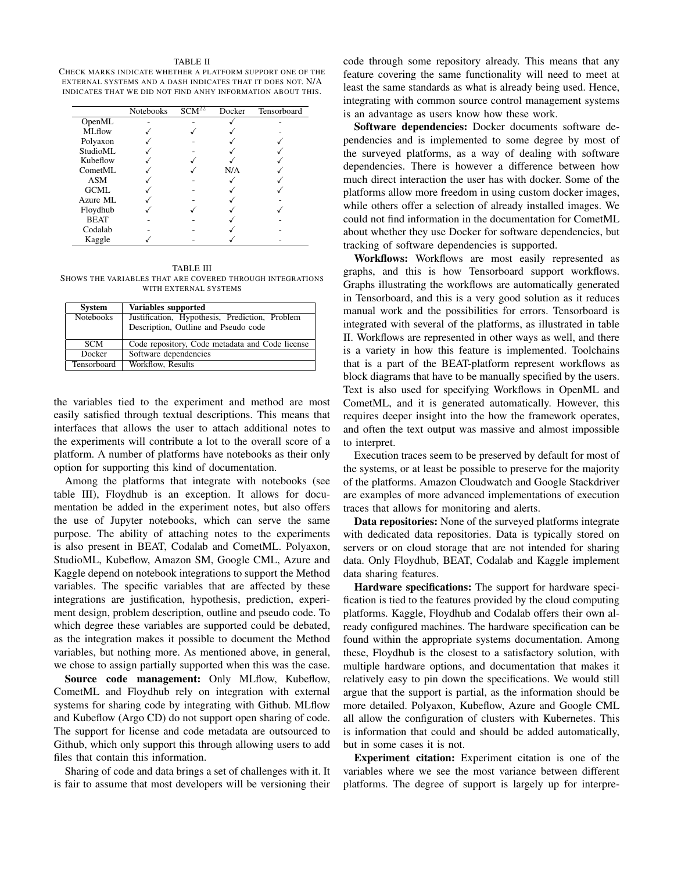#### TABLE II

CHECK MARKS INDICATE WHETHER A PLATFORM SUPPORT ONE OF THE EXTERNAL SYSTEMS AND A DASH INDICATES THAT IT DOES NOT. N/A INDICATES THAT WE DID NOT FIND ANHY INFORMATION ABOUT THIS.

|             | <b>Notebooks</b> | SCM <sup>22</sup> | Docker | Tensorboard |
|-------------|------------------|-------------------|--------|-------------|
| OpenML      |                  |                   |        |             |
| MLflow      |                  |                   |        |             |
| Polyaxon    |                  |                   |        |             |
| StudioML    |                  |                   |        |             |
| Kubeflow    |                  |                   |        |             |
| CometML     |                  |                   | N/A    |             |
| <b>ASM</b>  |                  |                   |        |             |
| GCML        |                  |                   |        |             |
| Azure ML    |                  |                   |        |             |
| Floydhub    |                  |                   |        |             |
| <b>BEAT</b> |                  |                   |        |             |
| Codalab     |                  |                   |        |             |
| Kaggle      |                  |                   |        |             |

TABLE III SHOWS THE VARIABLES THAT ARE COVERED THROUGH INTEGRATIONS WITH EXTERNAL SYSTEMS

| <b>System</b>    | Variables supported                             |
|------------------|-------------------------------------------------|
| <b>Notebooks</b> | Justification, Hypothesis, Prediction, Problem  |
|                  | Description, Outline and Pseudo code            |
| <b>SCM</b>       | Code repository, Code metadata and Code license |
| <b>Docker</b>    | Software dependencies                           |
| Tensorboard      | Workflow, Results                               |

the variables tied to the experiment and method are most easily satisfied through textual descriptions. This means that interfaces that allows the user to attach additional notes to the experiments will contribute a lot to the overall score of a platform. A number of platforms have notebooks as their only option for supporting this kind of documentation.

Among the platforms that integrate with notebooks (see table III), Floydhub is an exception. It allows for documentation be added in the experiment notes, but also offers the use of Jupyter notebooks, which can serve the same purpose. The ability of attaching notes to the experiments is also present in BEAT, Codalab and CometML. Polyaxon, StudioML, Kubeflow, Amazon SM, Google CML, Azure and Kaggle depend on notebook integrations to support the Method variables. The specific variables that are affected by these integrations are justification, hypothesis, prediction, experiment design, problem description, outline and pseudo code. To which degree these variables are supported could be debated, as the integration makes it possible to document the Method variables, but nothing more. As mentioned above, in general, we chose to assign partially supported when this was the case.

Source code management: Only MLflow, Kubeflow, CometML and Floydhub rely on integration with external systems for sharing code by integrating with Github. MLflow and Kubeflow (Argo CD) do not support open sharing of code. The support for license and code metadata are outsourced to Github, which only support this through allowing users to add files that contain this information.

Sharing of code and data brings a set of challenges with it. It is fair to assume that most developers will be versioning their code through some repository already. This means that any feature covering the same functionality will need to meet at least the same standards as what is already being used. Hence, integrating with common source control management systems is an advantage as users know how these work.

Software dependencies: Docker documents software dependencies and is implemented to some degree by most of the surveyed platforms, as a way of dealing with software dependencies. There is however a difference between how much direct interaction the user has with docker. Some of the platforms allow more freedom in using custom docker images, while others offer a selection of already installed images. We could not find information in the documentation for CometML about whether they use Docker for software dependencies, but tracking of software dependencies is supported.

Workflows: Workflows are most easily represented as graphs, and this is how Tensorboard support workflows. Graphs illustrating the workflows are automatically generated in Tensorboard, and this is a very good solution as it reduces manual work and the possibilities for errors. Tensorboard is integrated with several of the platforms, as illustrated in table II. Workflows are represented in other ways as well, and there is a variety in how this feature is implemented. Toolchains that is a part of the BEAT-platform represent workflows as block diagrams that have to be manually specified by the users. Text is also used for specifying Workflows in OpenML and CometML, and it is generated automatically. However, this requires deeper insight into the how the framework operates, and often the text output was massive and almost impossible to interpret.

Execution traces seem to be preserved by default for most of the systems, or at least be possible to preserve for the majority of the platforms. Amazon Cloudwatch and Google Stackdriver are examples of more advanced implementations of execution traces that allows for monitoring and alerts.

Data repositories: None of the surveyed platforms integrate with dedicated data repositories. Data is typically stored on servers or on cloud storage that are not intended for sharing data. Only Floydhub, BEAT, Codalab and Kaggle implement data sharing features.

Hardware specifications: The support for hardware specification is tied to the features provided by the cloud computing platforms. Kaggle, Floydhub and Codalab offers their own already configured machines. The hardware specification can be found within the appropriate systems documentation. Among these, Floydhub is the closest to a satisfactory solution, with multiple hardware options, and documentation that makes it relatively easy to pin down the specifications. We would still argue that the support is partial, as the information should be more detailed. Polyaxon, Kubeflow, Azure and Google CML all allow the configuration of clusters with Kubernetes. This is information that could and should be added automatically, but in some cases it is not.

Experiment citation: Experiment citation is one of the variables where we see the most variance between different platforms. The degree of support is largely up for interpre-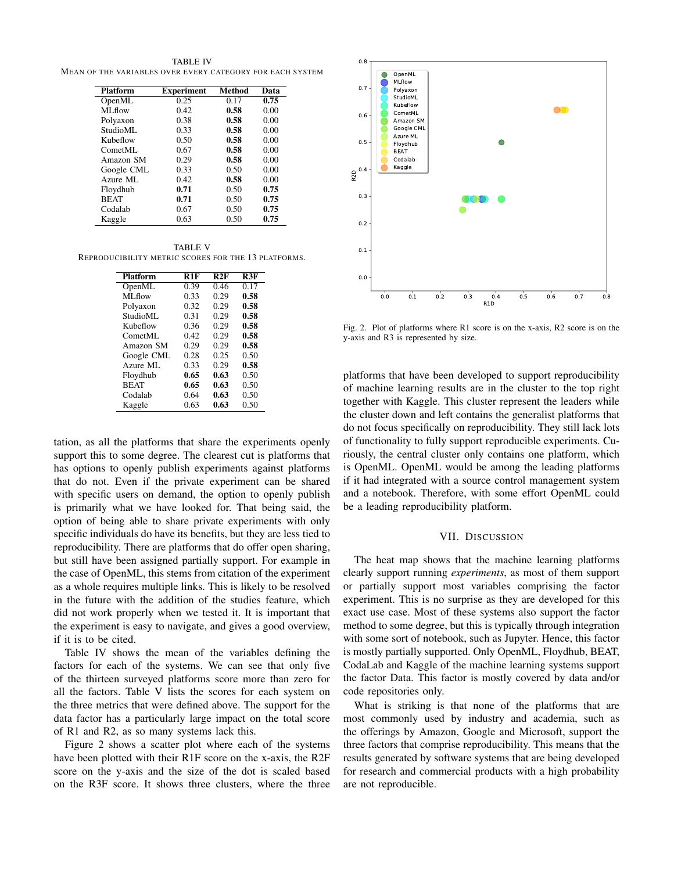TABLE IV MEAN OF THE VARIABLES OVER EVERY CATEGORY FOR EACH SYSTEM

| <b>Platform</b> | <b>Experiment</b> | Method | Data |
|-----------------|-------------------|--------|------|
| OpenML          | 0.25              | 0.17   | 0.75 |
| ML flow         | 0.42              | 0.58   | 0.00 |
| Polyaxon        | 0.38              | 0.58   | 0.00 |
| StudioML        | 0.33              | 0.58   | 0.00 |
| Kubeflow        | 0.50              | 0.58   | 0.00 |
| CometML         | 0.67              | 0.58   | 0.00 |
| Amazon SM       | 0.29              | 0.58   | 0.00 |
| Google CML      | 0.33              | 0.50   | 0.00 |
| Azure ML        | 0.42              | 0.58   | 0.00 |
| Floydhub        | 0.71              | 0.50   | 0.75 |
| <b>BEAT</b>     | 0.71              | 0.50   | 0.75 |
| Codalab         | 0.67              | 0.50   | 0.75 |
| Kaggle          | 0.63              | 0.50   | 0.75 |

TABLE V REPRODUCIBILITY METRIC SCORES FOR THE 13 PLATFORMS.

| <b>Platform</b> | R1F  | R2F  | R3F  |
|-----------------|------|------|------|
| OpenML          | 0.39 | 0.46 | 0.17 |
| ML flow         | 0.33 | 0.29 | 0.58 |
| Polyaxon        | 0.32 | 0.29 | 0.58 |
| StudioML        | 0.31 | 0.29 | 0.58 |
| Kubeflow        | 0.36 | 0.29 | 0.58 |
| CometML         | 0.42 | 0.29 | 0.58 |
| Amazon SM       | 0.29 | 0.29 | 0.58 |
| Google CML      | 0.28 | 0.25 | 0.50 |
| Azure ML        | 0.33 | 0.29 | 0.58 |
| Floydhub        | 0.65 | 0.63 | 0.50 |
| <b>BEAT</b>     | 0.65 | 0.63 | 0.50 |
| Codalab         | 0.64 | 0.63 | 0.50 |
| Kaggle          | 0.63 | 0.63 | 0.50 |

tation, as all the platforms that share the experiments openly support this to some degree. The clearest cut is platforms that has options to openly publish experiments against platforms that do not. Even if the private experiment can be shared with specific users on demand, the option to openly publish is primarily what we have looked for. That being said, the option of being able to share private experiments with only specific individuals do have its benefits, but they are less tied to reproducibility. There are platforms that do offer open sharing, but still have been assigned partially support. For example in the case of OpenML, this stems from citation of the experiment as a whole requires multiple links. This is likely to be resolved in the future with the addition of the studies feature, which did not work properly when we tested it. It is important that the experiment is easy to navigate, and gives a good overview, if it is to be cited.

Table IV shows the mean of the variables defining the factors for each of the systems. We can see that only five of the thirteen surveyed platforms score more than zero for all the factors. Table V lists the scores for each system on the three metrics that were defined above. The support for the data factor has a particularly large impact on the total score of R1 and R2, as so many systems lack this.

Figure 2 shows a scatter plot where each of the systems have been plotted with their R1F score on the x-axis, the R2F score on the y-axis and the size of the dot is scaled based on the R3F score. It shows three clusters, where the three



Fig. 2. Plot of platforms where R1 score is on the x-axis, R2 score is on the y-axis and R3 is represented by size.

platforms that have been developed to support reproducibility of machine learning results are in the cluster to the top right together with Kaggle. This cluster represent the leaders while the cluster down and left contains the generalist platforms that do not focus specifically on reproducibility. They still lack lots of functionality to fully support reproducible experiments. Curiously, the central cluster only contains one platform, which is OpenML. OpenML would be among the leading platforms if it had integrated with a source control management system and a notebook. Therefore, with some effort OpenML could be a leading reproducibility platform.

# VII. DISCUSSION

The heat map shows that the machine learning platforms clearly support running *experiments*, as most of them support or partially support most variables comprising the factor experiment. This is no surprise as they are developed for this exact use case. Most of these systems also support the factor method to some degree, but this is typically through integration with some sort of notebook, such as Jupyter. Hence, this factor is mostly partially supported. Only OpenML, Floydhub, BEAT, CodaLab and Kaggle of the machine learning systems support the factor Data. This factor is mostly covered by data and/or code repositories only.

What is striking is that none of the platforms that are most commonly used by industry and academia, such as the offerings by Amazon, Google and Microsoft, support the three factors that comprise reproducibility. This means that the results generated by software systems that are being developed for research and commercial products with a high probability are not reproducible.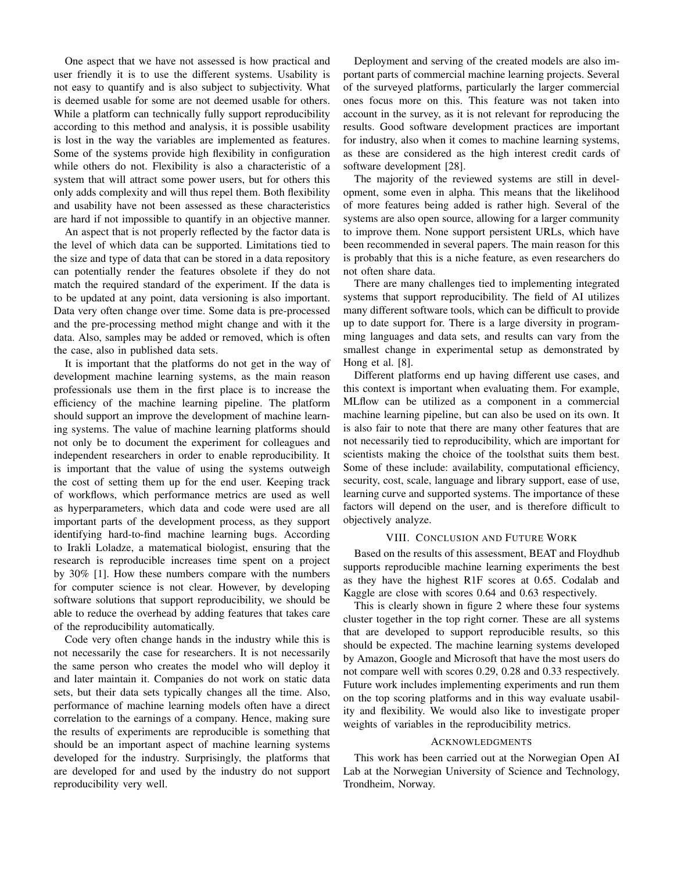One aspect that we have not assessed is how practical and user friendly it is to use the different systems. Usability is not easy to quantify and is also subject to subjectivity. What is deemed usable for some are not deemed usable for others. While a platform can technically fully support reproducibility according to this method and analysis, it is possible usability is lost in the way the variables are implemented as features. Some of the systems provide high flexibility in configuration while others do not. Flexibility is also a characteristic of a system that will attract some power users, but for others this only adds complexity and will thus repel them. Both flexibility and usability have not been assessed as these characteristics are hard if not impossible to quantify in an objective manner.

An aspect that is not properly reflected by the factor data is the level of which data can be supported. Limitations tied to the size and type of data that can be stored in a data repository can potentially render the features obsolete if they do not match the required standard of the experiment. If the data is to be updated at any point, data versioning is also important. Data very often change over time. Some data is pre-processed and the pre-processing method might change and with it the data. Also, samples may be added or removed, which is often the case, also in published data sets.

It is important that the platforms do not get in the way of development machine learning systems, as the main reason professionals use them in the first place is to increase the efficiency of the machine learning pipeline. The platform should support an improve the development of machine learning systems. The value of machine learning platforms should not only be to document the experiment for colleagues and independent researchers in order to enable reproducibility. It is important that the value of using the systems outweigh the cost of setting them up for the end user. Keeping track of workflows, which performance metrics are used as well as hyperparameters, which data and code were used are all important parts of the development process, as they support identifying hard-to-find machine learning bugs. According to Irakli Loladze, a matematical biologist, ensuring that the research is reproducible increases time spent on a project by 30% [1]. How these numbers compare with the numbers for computer science is not clear. However, by developing software solutions that support reproducibility, we should be able to reduce the overhead by adding features that takes care of the reproducibility automatically.

Code very often change hands in the industry while this is not necessarily the case for researchers. It is not necessarily the same person who creates the model who will deploy it and later maintain it. Companies do not work on static data sets, but their data sets typically changes all the time. Also, performance of machine learning models often have a direct correlation to the earnings of a company. Hence, making sure the results of experiments are reproducible is something that should be an important aspect of machine learning systems developed for the industry. Surprisingly, the platforms that are developed for and used by the industry do not support reproducibility very well.

Deployment and serving of the created models are also important parts of commercial machine learning projects. Several of the surveyed platforms, particularly the larger commercial ones focus more on this. This feature was not taken into account in the survey, as it is not relevant for reproducing the results. Good software development practices are important for industry, also when it comes to machine learning systems, as these are considered as the high interest credit cards of software development [28].

The majority of the reviewed systems are still in development, some even in alpha. This means that the likelihood of more features being added is rather high. Several of the systems are also open source, allowing for a larger community to improve them. None support persistent URLs, which have been recommended in several papers. The main reason for this is probably that this is a niche feature, as even researchers do not often share data.

There are many challenges tied to implementing integrated systems that support reproducibility. The field of AI utilizes many different software tools, which can be difficult to provide up to date support for. There is a large diversity in programming languages and data sets, and results can vary from the smallest change in experimental setup as demonstrated by Hong et al. [8].

Different platforms end up having different use cases, and this context is important when evaluating them. For example, MLflow can be utilized as a component in a commercial machine learning pipeline, but can also be used on its own. It is also fair to note that there are many other features that are not necessarily tied to reproducibility, which are important for scientists making the choice of the toolsthat suits them best. Some of these include: availability, computational efficiency, security, cost, scale, language and library support, ease of use, learning curve and supported systems. The importance of these factors will depend on the user, and is therefore difficult to objectively analyze.

## VIII. CONCLUSION AND FUTURE WORK

Based on the results of this assessment, BEAT and Floydhub supports reproducible machine learning experiments the best as they have the highest R1F scores at 0.65. Codalab and Kaggle are close with scores 0.64 and 0.63 respectively.

This is clearly shown in figure 2 where these four systems cluster together in the top right corner. These are all systems that are developed to support reproducible results, so this should be expected. The machine learning systems developed by Amazon, Google and Microsoft that have the most users do not compare well with scores 0.29, 0.28 and 0.33 respectively. Future work includes implementing experiments and run them on the top scoring platforms and in this way evaluate usability and flexibility. We would also like to investigate proper weights of variables in the reproducibility metrics.

### ACKNOWLEDGMENTS

This work has been carried out at the Norwegian Open AI Lab at the Norwegian University of Science and Technology, Trondheim, Norway.